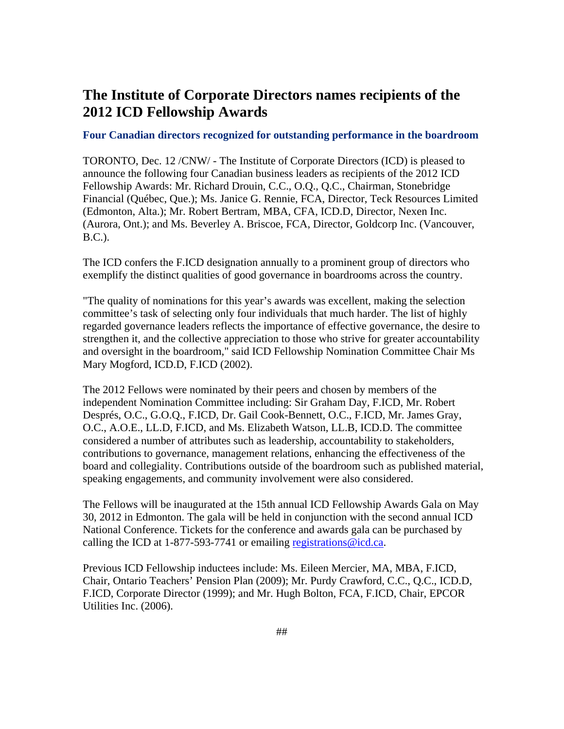## **The Institute of Corporate Directors names recipients of the 2012 ICD Fellowship Awards**

## **Four Canadian directors recognized for outstanding performance in the boardroom**

TORONTO, Dec. 12 /CNW/ - The Institute of Corporate Directors (ICD) is pleased to announce the following four Canadian business leaders as recipients of the 2012 ICD Fellowship Awards: Mr. Richard Drouin, C.C., O.Q., Q.C., Chairman, Stonebridge Financial (Québec, Que.); Ms. Janice G. Rennie, FCA, Director, Teck Resources Limited (Edmonton, Alta.); Mr. Robert Bertram, MBA, CFA, ICD.D, Director, Nexen Inc. (Aurora, Ont.); and Ms. Beverley A. Briscoe, FCA, Director, Goldcorp Inc. (Vancouver, B.C.).

The ICD confers the F.ICD designation annually to a prominent group of directors who exemplify the distinct qualities of good governance in boardrooms across the country.

"The quality of nominations for this year's awards was excellent, making the selection committee's task of selecting only four individuals that much harder. The list of highly regarded governance leaders reflects the importance of effective governance, the desire to strengthen it, and the collective appreciation to those who strive for greater accountability and oversight in the boardroom," said ICD Fellowship Nomination Committee Chair Ms Mary Mogford, ICD.D, F.ICD (2002).

The 2012 Fellows were nominated by their peers and chosen by members of the independent Nomination Committee including: Sir Graham Day, F.ICD, Mr. Robert Després, O.C., G.O.Q., F.ICD, Dr. Gail Cook-Bennett, O.C., F.ICD, Mr. James Gray, O.C., A.O.E., LL.D, F.ICD, and Ms. Elizabeth Watson, LL.B, ICD.D. The committee considered a number of attributes such as leadership, accountability to stakeholders, contributions to governance, management relations, enhancing the effectiveness of the board and collegiality. Contributions outside of the boardroom such as published material, speaking engagements, and community involvement were also considered.

The Fellows will be inaugurated at the 15th annual ICD Fellowship Awards Gala on May 30, 2012 in Edmonton. The gala will be held in conjunction with the second annual ICD National Conference. Tickets for the conference and awards gala can be purchased by calling the ICD at 1-877-593-7741 or emailing registrations  $@$  icd.ca.

Previous ICD Fellowship inductees include: Ms. Eileen Mercier, MA, MBA, F.ICD, Chair, Ontario Teachers' Pension Plan (2009); Mr. Purdy Crawford, C.C., Q.C., ICD.D, F.ICD, Corporate Director (1999); and Mr. Hugh Bolton, FCA, F.ICD, Chair, EPCOR Utilities Inc. (2006).